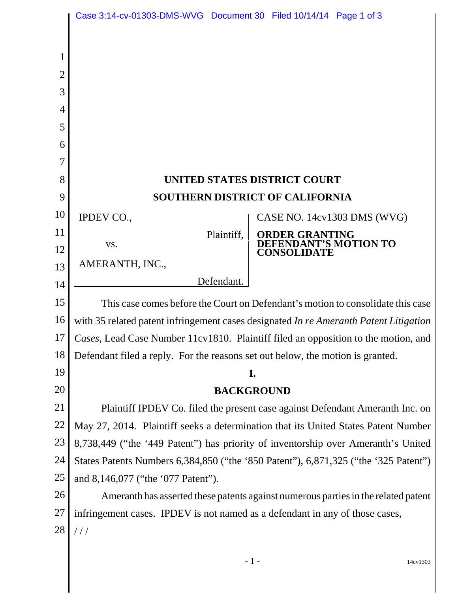|                | Case 3:14-cv-01303-DMS-WVG  Document 30  Filed 10/14/14  Page 1 of 3                  |                                         |
|----------------|---------------------------------------------------------------------------------------|-----------------------------------------|
|                |                                                                                       |                                         |
| 1              |                                                                                       |                                         |
| $\overline{2}$ |                                                                                       |                                         |
| 3              |                                                                                       |                                         |
| 4              |                                                                                       |                                         |
| 5              |                                                                                       |                                         |
| 6              |                                                                                       |                                         |
| 7              |                                                                                       |                                         |
| 8              | UNITED STATES DISTRICT COURT                                                          |                                         |
| 9              | <b>SOUTHERN DISTRICT OF CALIFORNIA</b>                                                |                                         |
| 10             | IPDEV CO.,                                                                            | CASE NO. 14cv1303 DMS (WVG)             |
| 11             | Plaintiff,                                                                            | ORDER GRANTING<br>DEFENDANT'S MOTION TO |
| 12             | VS.                                                                                   | <b>CONSOLIDATE</b>                      |
| 13             | AMERANTH, INC.,                                                                       |                                         |
| 14             | Defendant.                                                                            |                                         |
| 15             | This case comes before the Court on Defendant's motion to consolidate this case       |                                         |
| 16             | with 35 related patent infringement cases designated In re Ameranth Patent Litigation |                                         |
| 17             | Cases, Lead Case Number 11cv1810. Plaintiff filed an opposition to the motion, and    |                                         |
| 18             | Defendant filed a reply. For the reasons set out below, the motion is granted.        |                                         |
| 19             | I.                                                                                    |                                         |
| 20             | <b>BACKGROUND</b>                                                                     |                                         |
| 21             | Plaintiff IPDEV Co. filed the present case against Defendant Ameranth Inc. on         |                                         |
| 22             | May 27, 2014. Plaintiff seeks a determination that its United States Patent Number    |                                         |
| 23             | 8,738,449 ("the '449 Patent") has priority of inventorship over Ameranth's United     |                                         |
| 24             | States Patents Numbers 6,384,850 ("the '850 Patent"), 6,871,325 ("the '325 Patent")   |                                         |
| 25             | and 8,146,077 ("the '077 Patent").                                                    |                                         |
| 26             | Ameranth has asserted these patents against numerous parties in the related patent    |                                         |
| 27             | infringement cases. IPDEV is not named as a defendant in any of those cases,          |                                         |
| 28             | //                                                                                    |                                         |
|                |                                                                                       |                                         |

- 1 - 14cv1303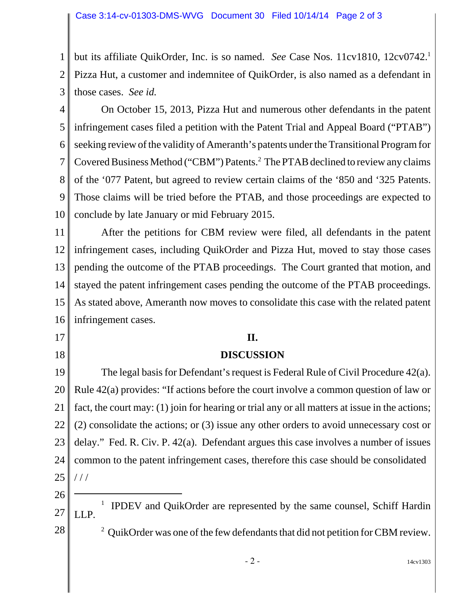1 2 3 but its affiliate QuikOrder, Inc. is so named. *See* Case Nos. 11cv1810, 12cv0742.1 Pizza Hut, a customer and indemnitee of QuikOrder, is also named as a defendant in those cases. *See id.* 

4 5 6 7 8 9 10 On October 15, 2013, Pizza Hut and numerous other defendants in the patent infringement cases filed a petition with the Patent Trial and Appeal Board ("PTAB") seeking review of the validity of Ameranth's patents under the Transitional Program for Covered Business Method ("CBM") Patents.<sup>2</sup> The PTAB declined to review any claims of the '077 Patent, but agreed to review certain claims of the '850 and '325 Patents. Those claims will be tried before the PTAB, and those proceedings are expected to conclude by late January or mid February 2015.

11 12 13 14 15 16 After the petitions for CBM review were filed, all defendants in the patent infringement cases, including QuikOrder and Pizza Hut, moved to stay those cases pending the outcome of the PTAB proceedings. The Court granted that motion, and stayed the patent infringement cases pending the outcome of the PTAB proceedings. As stated above, Ameranth now moves to consolidate this case with the related patent infringement cases.

## **II.**

## **DISCUSSION**

19 20 21 22 23 24 25 The legal basis for Defendant's request is Federal Rule of Civil Procedure 42(a). Rule 42(a) provides: "If actions before the court involve a common question of law or fact, the court may: (1) join for hearing or trial any or all matters at issue in the actions; (2) consolidate the actions; or (3) issue any other orders to avoid unnecessary cost or delay." Fed. R. Civ. P. 42(a). Defendant argues this case involves a number of issues common to the patent infringement cases, therefore this case should be consolidated  $//$ 

26

17

18

27 28 1 <sup>1</sup> IPDEV and QuikOrder are represented by the same counsel, Schiff Hardin LLP. <sup>2</sup> QuikOrder was one of the few defendants that did not petition for CBM review.